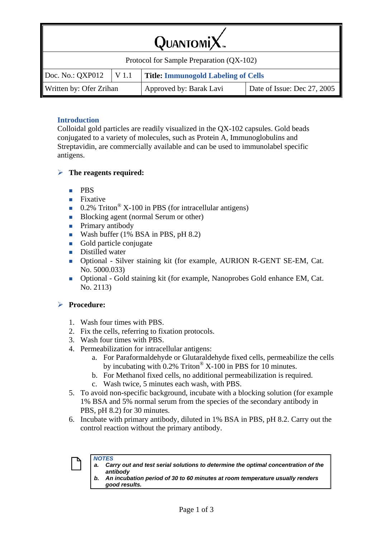| $QuarsoniX$ .                            |       |                                            |                             |  |  |  |
|------------------------------------------|-------|--------------------------------------------|-----------------------------|--|--|--|
| Protocol for Sample Preparation (QX-102) |       |                                            |                             |  |  |  |
| Doc. No.: QXP012                         | V 1.1 | <b>Title: Immunogold Labeling of Cells</b> |                             |  |  |  |
| Written by: Ofer Zrihan                  |       | Approved by: Barak Lavi                    | Date of Issue: Dec 27, 2005 |  |  |  |

## **Introduction**

Colloidal gold particles are readily visualized in the QX-102 capsules. Gold beads conjugated to a variety of molecules, such as Protein A, Immunoglobulins and Streptavidin, are commercially available and can be used to immunolabel specific antigens.

## ¾ **The reagents required:**

- $\blacksquare$  PRS
- $\blacksquare$  Fixative
- 0.2% Triton<sup>®</sup> X-100 in PBS (for intracellular antigens)
- Blocking agent (normal Serum or other)
- **Primary antibody**
- Wash buffer  $(1\%$  BSA in PBS, pH  $(8.2)$
- Gold particle conjugate
- Distilled water
- Optional Silver staining kit (for example, AURION R-GENT SE-EM, Cat. No. 5000.033)
- Optional Gold staining kit (for example, Nanoprobes Gold enhance EM, Cat. No. 2113)

## ¾ **Procedure:**

- 1. Wash four times with PBS.
- 2. Fix the cells, referring to fixation protocols.
- 3. Wash four times with PBS.
- 4. Permeabilization for intracellular antigens:
	- a. For Paraformaldehyde or Glutaraldehyde fixed cells, permeabilize the cells by incubating with  $0.2\%$  Triton<sup>®</sup> X-100 in PBS for 10 minutes.
	- b. For Methanol fixed cells, no additional permeabilization is required.
	- c. Wash twice, 5 minutes each wash, with PBS.
- 5. To avoid non-specific background, incubate with a blocking solution (for example 1% BSA and 5% normal serum from the species of the secondary antibody in PBS, pH 8.2) for 30 minutes.
- 6. Incubate with primary antibody, diluted in 1% BSA in PBS, pH 8.2. Carry out the control reaction without the primary antibody.

- *NOTES a. Carry out and test serial solutions to determine the optimal concentration of the antibody* 
	- *b. An incubation period of 30 to 60 minutes at room temperature usually renders good results.*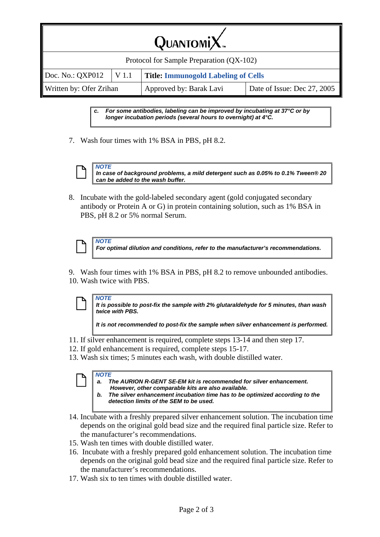| $QuarsoniX$ .                            |       |                                            |                             |  |  |  |
|------------------------------------------|-------|--------------------------------------------|-----------------------------|--|--|--|
| Protocol for Sample Preparation (QX-102) |       |                                            |                             |  |  |  |
| Doc. No.: QXP012                         | V 1.1 | <b>Title: Immunogold Labeling of Cells</b> |                             |  |  |  |
| Written by: Ofer Zrihan                  |       | Approved by: Barak Lavi                    | Date of Issue: Dec 27, 2005 |  |  |  |

*For some antibodies, labeling can be improved by incubating at 37°C or by longer incubation periods (several hours to overnight) at 4°C.* 

7. Wash four times with 1% BSA in PBS, pH 8.2.



 $\left[\begin{array}{c|c}\n\hline\n\end{array}\right]$  *In case*<br> *can be In case of background problems, a mild detergent such as 0.05% to 0.1% Tween® 20 can be added to the wash buffer.* 

8. Incubate with the gold-labeled secondary agent (gold conjugated secondary antibody or Protein A or G) in protein containing solution, such as 1% BSA in PBS, pH 8.2 or 5% normal Serum.

 $\left[\begin{array}{c|c} \mathbf{O} & \mathbf{A} & \mathbf{A} \\ \hline \mathbf{H} & \mathbf{B} & \mathbf{B} \\ \hline \mathbf{H} & \mathbf{B} & \mathbf{B} \end{array}\right]$ 

*For optimal dilution and conditions, refer to the manufacturer's recommendations.* 

9. Wash four times with 1% BSA in PBS, pH 8.2 to remove unbounded antibodies. 10. Wash twice with PBS.



*It is possible to post-fix the sample with 2% glutaraldehyde for 5 minutes, than wash twice with PBS.* 

*It is not recommended to post-fix the sample when silver enhancement is performed.* 

- 11. If silver enhancement is required, complete steps 13-14 and then step 17.
- 12. If gold enhancement is required, complete steps 15-17.
- 13. Wash six times; 5 minutes each wash, with double distilled water.



- *a. The AURION R-GENT SE-EM kit is recommended for silver enhancement. However, other comparable kits are also available.*
- *b. The silver enhancement incubation time has to be optimized according to the detection limits of the SEM to be used.*
- 14. Incubate with a freshly prepared silver enhancement solution. The incubation time depends on the original gold bead size and the required final particle size. Refer to the manufacturer's recommendations.
- 15. Wash ten times with double distilled water.
- 16. Incubate with a freshly prepared gold enhancement solution. The incubation time depends on the original gold bead size and the required final particle size. Refer to the manufacturer's recommendations.
- 17. Wash six to ten times with double distilled water.